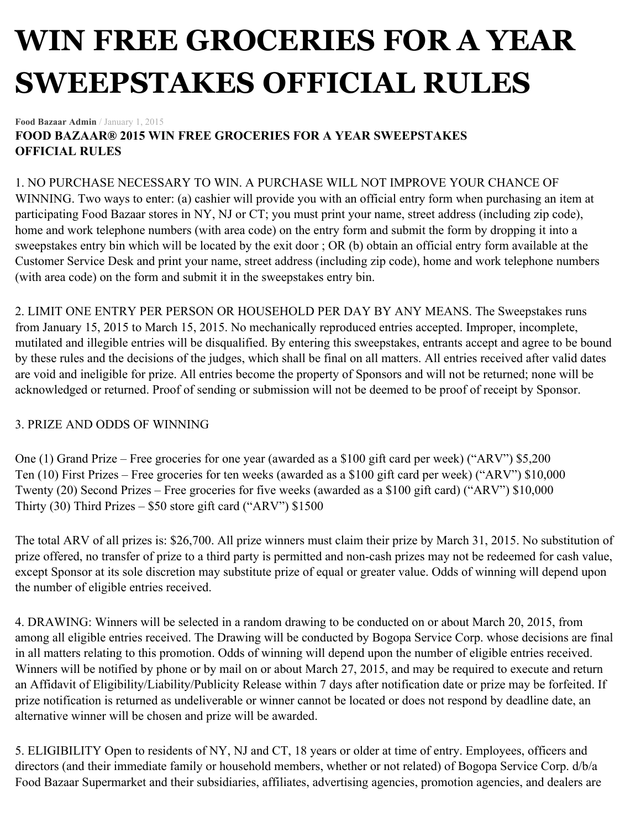## **WIN FREE GROCERIES FOR A YEAR SWEEPSTAKES OFFICIAL RULES**

**Food Bazaar Admin** / January 1, 2015

**FOOD BAZAAR® 2015 WIN FREE GROCERIES FOR A YEAR SWEEPSTAKES OFFICIAL RULES**

## 1. NO PURCHASE NECESSARY TO WIN. A PURCHASE WILL NOT IMPROVE YOUR CHANCE OF

WINNING. Two ways to enter: (a) cashier will provide you with an official entry form when purchasing an item at participating Food Bazaar stores in NY, NJ or CT; you must print your name, street address (including zip code), home and work telephone numbers (with area code) on the entry form and submit the form by dropping it into a sweepstakes entry bin which will be located by the exit door ; OR (b) obtain an official entry form available at the Customer Service Desk and print your name, street address (including zip code), home and work telephone numbers (with area code) on the form and submit it in the sweepstakes entry bin.

2. LIMIT ONE ENTRY PER PERSON OR HOUSEHOLD PER DAY BY ANY MEANS. The Sweepstakes runs from January 15, 2015 to March 15, 2015. No mechanically reproduced entries accepted. Improper, incomplete, mutilated and illegible entries will be disqualified. By entering this sweepstakes, entrants accept and agree to be bound by these rules and the decisions of the judges, which shall be final on all matters. All entries received after valid dates are void and ineligible for prize. All entries become the property of Sponsors and will not be returned; none will be acknowledged or returned. Proof of sending or submission will not be deemed to be proof of receipt by Sponsor.

## 3. PRIZE AND ODDS OF WINNING

One (1) Grand Prize – Free groceries for one year (awarded as a \$100 gift card per week) ("ARV") \$5,200 Ten (10) First Prizes – Free groceries for ten weeks (awarded as a \$100 gift card per week) ("ARV") \$10,000 Twenty (20) Second Prizes – Free groceries for five weeks (awarded as a \$100 gift card) ("ARV") \$10,000 Thirty (30) Third Prizes  $-$  \$50 store gift card ("ARV") \$1500

The total ARV of all prizes is: \$26,700. All prize winners must claim their prize by March 31, 2015. No substitution of prize offered, no transfer of prize to a third party is permitted and non-cash prizes may not be redeemed for cash value, except Sponsor at its sole discretion may substitute prize of equal or greater value. Odds of winning will depend upon the number of eligible entries received.

4. DRAWING: Winners will be selected in a random drawing to be conducted on or about March 20, 2015, from among all eligible entries received. The Drawing will be conducted by Bogopa Service Corp. whose decisions are final in all matters relating to this promotion. Odds of winning will depend upon the number of eligible entries received. Winners will be notified by phone or by mail on or about March 27, 2015, and may be required to execute and return an Affidavit of Eligibility/Liability/Publicity Release within 7 days after notification date or prize may be forfeited. If prize notification is returned as undeliverable or winner cannot be located or does not respond by deadline date, an alternative winner will be chosen and prize will be awarded.

5. ELIGIBILITY Open to residents of NY, NJ and CT, 18 years or older at time of entry. Employees, officers and directors (and their immediate family or household members, whether or not related) of Bogopa Service Corp. d/b/a Food Bazaar Supermarket and their subsidiaries, affiliates, advertising agencies, promotion agencies, and dealers are